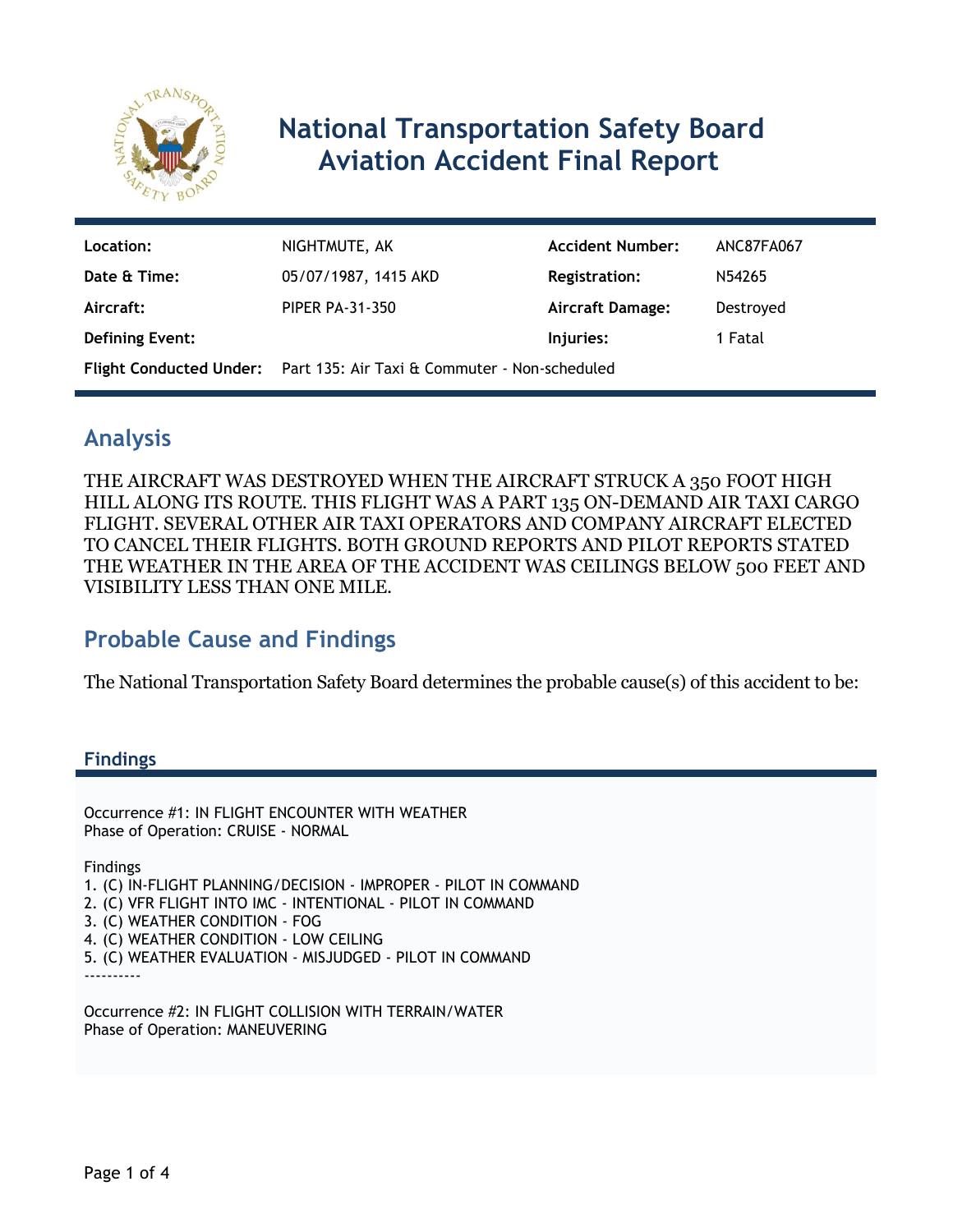

# **National Transportation Safety Board Aviation Accident Final Report**

| Location:              | NIGHTMUTE, AK                                                                | <b>Accident Number:</b> | ANC87FA067 |
|------------------------|------------------------------------------------------------------------------|-------------------------|------------|
| Date & Time:           | 05/07/1987, 1415 AKD                                                         | <b>Registration:</b>    | N54265     |
| Aircraft:              | <b>PIPER PA-31-350</b>                                                       | <b>Aircraft Damage:</b> | Destroyed  |
| <b>Defining Event:</b> |                                                                              | Injuries:               | 1 Fatal    |
|                        | <b>Flight Conducted Under:</b> Part 135: Air Taxi & Commuter - Non-scheduled |                         |            |

## **Analysis**

THE AIRCRAFT WAS DESTROYED WHEN THE AIRCRAFT STRUCK A 350 FOOT HIGH HILL ALONG ITS ROUTE. THIS FLIGHT WAS A PART 135 ON-DEMAND AIR TAXI CARGO FLIGHT. SEVERAL OTHER AIR TAXI OPERATORS AND COMPANY AIRCRAFT ELECTED TO CANCEL THEIR FLIGHTS. BOTH GROUND REPORTS AND PILOT REPORTS STATED THE WEATHER IN THE AREA OF THE ACCIDENT WAS CEILINGS BELOW 500 FEET AND VISIBILITY LESS THAN ONE MILE.

## **Probable Cause and Findings**

The National Transportation Safety Board determines the probable cause(s) of this accident to be:

#### **Findings**

Occurrence #1: IN FLIGHT ENCOUNTER WITH WEATHER Phase of Operation: CRUISE - NORMAL

Findings

1. (C) IN-FLIGHT PLANNING/DECISION - IMPROPER - PILOT IN COMMAND 2. (C) VFR FLIGHT INTO IMC - INTENTIONAL - PILOT IN COMMAND 3. (C) WEATHER CONDITION - FOG

4. (C) WEATHER CONDITION - LOW CEILING

5. (C) WEATHER EVALUATION - MISJUDGED - PILOT IN COMMAND ----------

Occurrence #2: IN FLIGHT COLLISION WITH TERRAIN/WATER Phase of Operation: MANEUVERING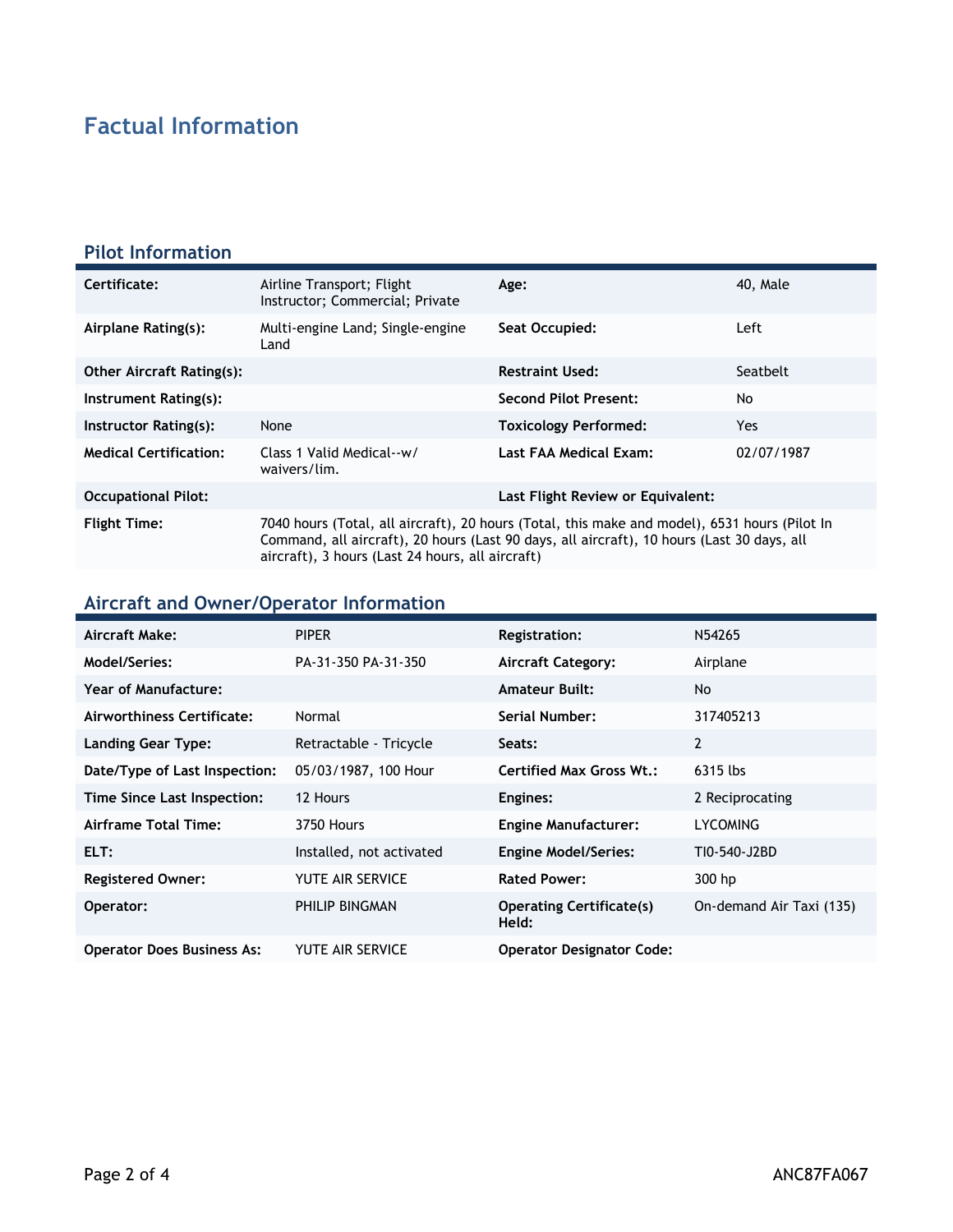## **Factual Information**

#### **Pilot Information**

| Certificate:                     | Airline Transport; Flight<br>Instructor; Commercial; Private                                                                                                                                                                                    | Age:                              | 40. Male   |
|----------------------------------|-------------------------------------------------------------------------------------------------------------------------------------------------------------------------------------------------------------------------------------------------|-----------------------------------|------------|
| Airplane Rating(s):              | Multi-engine Land; Single-engine<br>Land                                                                                                                                                                                                        | Seat Occupied:                    | Left       |
| <b>Other Aircraft Rating(s):</b> |                                                                                                                                                                                                                                                 | <b>Restraint Used:</b>            | Seatbelt   |
| Instrument Rating(s):            |                                                                                                                                                                                                                                                 | <b>Second Pilot Present:</b>      | No.        |
| Instructor Rating(s):            | None                                                                                                                                                                                                                                            | <b>Toxicology Performed:</b>      | <b>Yes</b> |
| <b>Medical Certification:</b>    | Class 1 Valid Medical--w/<br>waivers/lim.                                                                                                                                                                                                       | Last FAA Medical Exam:            | 02/07/1987 |
| <b>Occupational Pilot:</b>       |                                                                                                                                                                                                                                                 | Last Flight Review or Equivalent: |            |
| <b>Flight Time:</b>              | 7040 hours (Total, all aircraft), 20 hours (Total, this make and model), 6531 hours (Pilot In<br>Command, all aircraft), 20 hours (Last 90 days, all aircraft), 10 hours (Last 30 days, all<br>aircraft), 3 hours (Last 24 hours, all aircraft) |                                   |            |

## **Aircraft and Owner/Operator Information**

| Aircraft Make:                    | <b>PIPER</b>             | Registration:                            | N54265                   |
|-----------------------------------|--------------------------|------------------------------------------|--------------------------|
| Model/Series:                     | PA-31-350 PA-31-350      | <b>Aircraft Category:</b>                | Airplane                 |
| Year of Manufacture:              |                          | <b>Amateur Built:</b>                    | No                       |
| Airworthiness Certificate:        | Normal                   | Serial Number:                           | 317405213                |
| <b>Landing Gear Type:</b>         | Retractable - Tricycle   | Seats:                                   | 2                        |
| Date/Type of Last Inspection:     | 05/03/1987, 100 Hour     | <b>Certified Max Gross Wt.:</b>          | 6315 lbs                 |
| Time Since Last Inspection:       | 12 Hours                 | Engines:                                 | 2 Reciprocating          |
| Airframe Total Time:              | 3750 Hours               | <b>Engine Manufacturer:</b>              | <b>LYCOMING</b>          |
| ELT:                              | Installed, not activated | <b>Engine Model/Series:</b>              | TI0-540-J2BD             |
| <b>Registered Owner:</b>          | YUTE AIR SERVICE         | <b>Rated Power:</b>                      | 300 hp                   |
| Operator:                         | PHILIP BINGMAN           | <b>Operating Certificate(s)</b><br>Held: | On-demand Air Taxi (135) |
| <b>Operator Does Business As:</b> | YUTE AIR SERVICE         | <b>Operator Designator Code:</b>         |                          |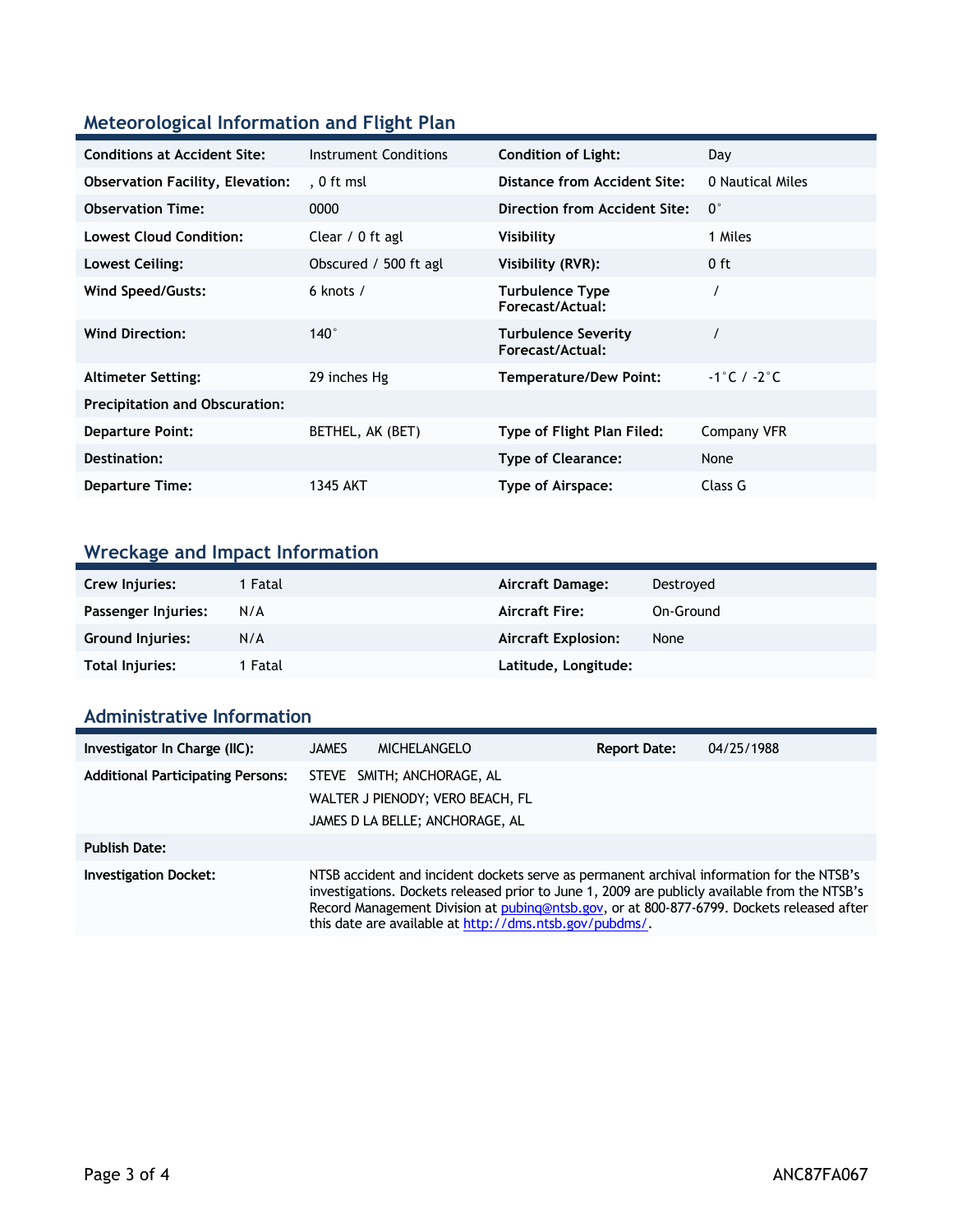## **Meteorological Information and Flight Plan**

| <b>Conditions at Accident Site:</b>     | Instrument Conditions | <b>Condition of Light:</b>                     | Day                           |
|-----------------------------------------|-----------------------|------------------------------------------------|-------------------------------|
| <b>Observation Facility, Elevation:</b> | . 0 ft msl            | Distance from Accident Site:                   | 0 Nautical Miles              |
| <b>Observation Time:</b>                | 0000                  | <b>Direction from Accident Site:</b>           | $0^{\circ}$                   |
| <b>Lowest Cloud Condition:</b>          | Clear / 0 ft agl      | Visibility                                     | 1 Miles                       |
| Lowest Ceiling:                         | Obscured / 500 ft agl | Visibility (RVR):                              | $0$ ft                        |
| <b>Wind Speed/Gusts:</b>                | 6 knots $/$           | <b>Turbulence Type</b><br>Forecast/Actual:     |                               |
| <b>Wind Direction:</b>                  | $140^\circ$           | <b>Turbulence Severity</b><br>Forecast/Actual: |                               |
| <b>Altimeter Setting:</b>               | 29 inches Hg          | <b>Temperature/Dew Point:</b>                  | $-1\degree$ C / $-2\degree$ C |
| <b>Precipitation and Obscuration:</b>   |                       |                                                |                               |
| <b>Departure Point:</b>                 | BETHEL, AK (BET)      | Type of Flight Plan Filed:                     | Company VFR                   |
| Destination:                            |                       | <b>Type of Clearance:</b>                      | None                          |
| <b>Departure Time:</b>                  | 1345 AKT              | Type of Airspace:                              | Class G                       |

## **Wreckage and Impact Information**

| Crew Injuries:      | 1 Fatal | Aircraft Damage:           | Destroyed |
|---------------------|---------|----------------------------|-----------|
| Passenger Injuries: | N/A     | <b>Aircraft Fire:</b>      | On-Ground |
| Ground Injuries:    | N/A     | <b>Aircraft Explosion:</b> | None      |
| Total Injuries:     | 1 Fatal | Latitude, Longitude:       |           |

#### **Administrative Information**

| Investigator In Charge (IIC):            | <b>JAMES</b>                                                                                                                                                                                                                                                                                                                                       | <b>MICHELANGELO</b>                                                                               | <b>Report Date:</b> | 04/25/1988 |
|------------------------------------------|----------------------------------------------------------------------------------------------------------------------------------------------------------------------------------------------------------------------------------------------------------------------------------------------------------------------------------------------------|---------------------------------------------------------------------------------------------------|---------------------|------------|
| <b>Additional Participating Persons:</b> |                                                                                                                                                                                                                                                                                                                                                    | STEVE SMITH; ANCHORAGE, AL<br>WALTER J PIENODY; VERO BEACH, FL<br>JAMES D LA BELLE; ANCHORAGE, AL |                     |            |
| <b>Publish Date:</b>                     |                                                                                                                                                                                                                                                                                                                                                    |                                                                                                   |                     |            |
| <b>Investigation Docket:</b>             | NTSB accident and incident dockets serve as permanent archival information for the NTSB's<br>investigations. Dockets released prior to June 1, 2009 are publicly available from the NTSB's<br>Record Management Division at pubing@ntsb.gov, or at 800-877-6799. Dockets released after<br>this date are available at http://dms.ntsb.gov/pubdms/. |                                                                                                   |                     |            |